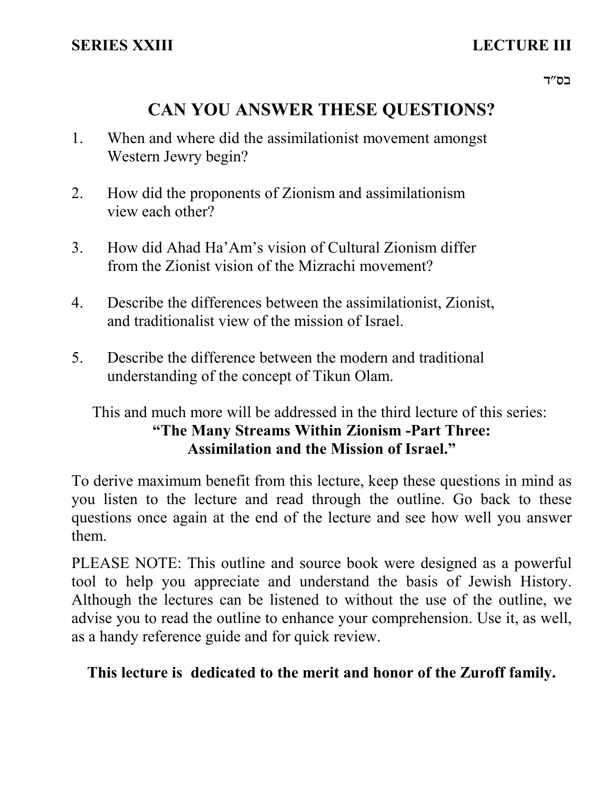# **CAN YOU ANSWER THESE QUESTIONS?**

- 1. When and where did the assimilationist movement amongst Western Jewry begin?
- How did the proponents of Zionism and assimilationism view each other? 2.
- 3. How did Ahad Ha'Am's vision of Cultural Zionism differ from the Zionist vision of the Mizrachi movement?
- 4. Describe the differences between the assimilationist, Zionist, and traditionalist view of the mission of Israel.
- 5. Describe the difference between the modern and traditional understanding of the concept of Tikun Olam.

# This and much more will be addressed in the third lecture of this series: **"The Many Streams Within Zionism -Part Three: Assimilation and the Mission of Israel."**

To derive maximum benefit from this lecture, keep these questions in mind as you listen to the lecture and read through the outline. Go back to these questions once again at the end of the lecture and see how well you answer them.

PLEASE NOTE: This outline and source book were designed as a powerful tool to help you appreciate and understand the basis of Jewish History. Although the lectures can be listened to without the use of the outline, we advise you to read the outline to enhance your comprehension. Use it, as well, as a handy reference guide and for quick review.

# **This lecture is dedicated to the merit and honor of the Zuroff family.**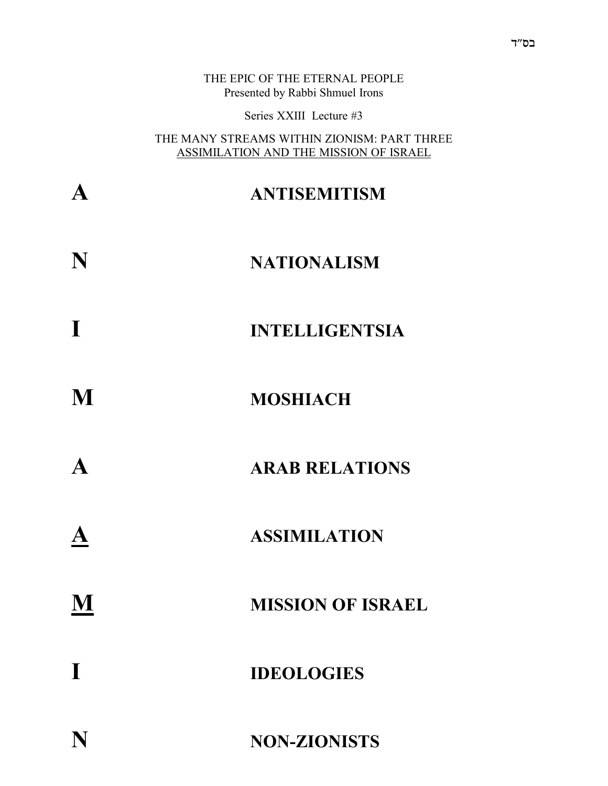|             | THE EPIC OF THE ETERNAL PEOPLE<br>Presented by Rabbi Shmuel Irons                     |
|-------------|---------------------------------------------------------------------------------------|
|             | Series XXIII Lecture #3                                                               |
|             | THE MANY STREAMS WITHIN ZIONISM: PART THREE<br>ASSIMILATION AND THE MISSION OF ISRAEL |
|             | <b>ANTISEMITISM</b>                                                                   |
| N           | <b>NATIONALISM</b>                                                                    |
| $\mathbf I$ | <b>INTELLIGENTSIA</b>                                                                 |
| M           | <b>MOSHIACH</b>                                                                       |
|             | <b>ARAB RELATIONS</b>                                                                 |
|             | <b>ASSIMILATION</b>                                                                   |
| M           | <b>MISSION OF ISRAEL</b>                                                              |
| $\mathbf I$ | <b>IDEOLOGIES</b>                                                                     |
| N           | <b>NON-ZIONISTS</b>                                                                   |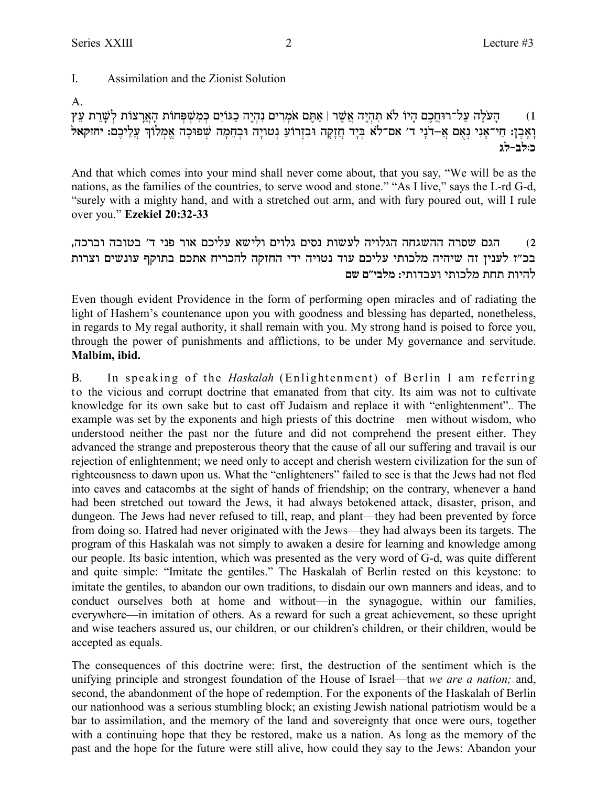#### $\mathbf{I}$ Assimilation and the Zionist Solution

## $A<sub>1</sub>$

הַעֹּלַה עַל־רוּחֲכֵם הֵיוֹ לֹא תַהְיֶה אֲשֶׁר | אַתֵּם אֹמְרִים נְהָיֶה כַגּוֹיָם כִּמְשִׁפְּחוֹת הַאֲרַצוֹת לְשֶׁרֵת עֵץ  $(1)$ וַאָבֶן: חַי־אָנִי נְאָם אַ–דֹנָי ד׳ אִם־לֹא בְּיָד חֲזָקָה וּבְזְרוֹעַ נְטוֹיָה וּבְחֵמָה שְׁפוּכָה אֱמְלוֹךְ עֲלֵיכֶם: יחזקאל כּוּלִב-לִג

And that which comes into your mind shall never come about, that you say, "We will be as the nations, as the families of the countries, to serve wood and stone." "As I live," says the L-rd G-d, "surely with a mighty hand, and with a stretched out arm, and with fury poured out, will I rule over you." Ezekiel 20:32-33

### הגם שסרה ההשגחה הגלויה לעשות נסים גלוים ולישא עליכם אור פני ד׳ בטובה וברכה.  $(2)$ בכ״ז לעניז זה שיהיה מלכותי עליכם עוד נטויה ידי החזקה להכריח אתכם בתוקף עונשים וצרות להיות תחת מלכותי ועבדותי: מלבי״ם שם

Even though evident Providence in the form of performing open miracles and of radiating the light of Hashem's countenance upon you with goodness and blessing has departed, nonetheless, in regards to My regal authority, it shall remain with you. My strong hand is poised to force you, through the power of punishments and afflictions, to be under My governance and servitude. Malbim, ibid.

 $B<sub>1</sub>$ In speaking of the *Haskalah* (Enlightenment) of Berlin I am referring to the vicious and corrupt doctrine that emanated from that city. Its aim was not to cultivate knowledge for its own sake but to cast off Judaism and replace it with "enlightenment". The example was set by the exponents and high priests of this doctrine—men without wisdom, who understood neither the past nor the future and did not comprehend the present either. They advanced the strange and preposterous theory that the cause of all our suffering and travail is our rejection of enlightenment; we need only to accept and cherish western civilization for the sun of righteousness to dawn upon us. What the "enlighteners" failed to see is that the Jews had not fled into caves and catacombs at the sight of hands of friendship; on the contrary, whenever a hand had been stretched out toward the Jews, it had always betokened attack, disaster, prison, and dungeon. The Jews had never refused to till, reap, and plant—they had been prevented by force from doing so. Hatred had never originated with the Jews—they had always been its targets. The program of this Haskalah was not simply to awaken a desire for learning and knowledge among our people. Its basic intention, which was presented as the very word of G-d, was quite different and quite simple: "Imitate the gentiles." The Haskalah of Berlin rested on this keystone: to imitate the gentiles, to abandon our own traditions, to disdain our own manners and ideas, and to conduct ourselves both at home and without—in the synagogue, within our families, everywhere—in imitation of others. As a reward for such a great achievement, so these upright and wise teachers assured us, our children, or our children's children, or their children, would be accepted as equals.

The consequences of this doctrine were: first, the destruction of the sentiment which is the unifying principle and strongest foundation of the House of Israel—that we are a nation; and, second, the abandonment of the hope of redemption. For the exponents of the Haskalah of Berlin our nationhood was a serious stumbling block; an existing Jewish national patriotism would be a bar to assimilation, and the memory of the land and sovereignty that once were ours, together with a continuing hope that they be restored, make us a nation. As long as the memory of the past and the hope for the future were still alive, how could they say to the Jews: Abandon your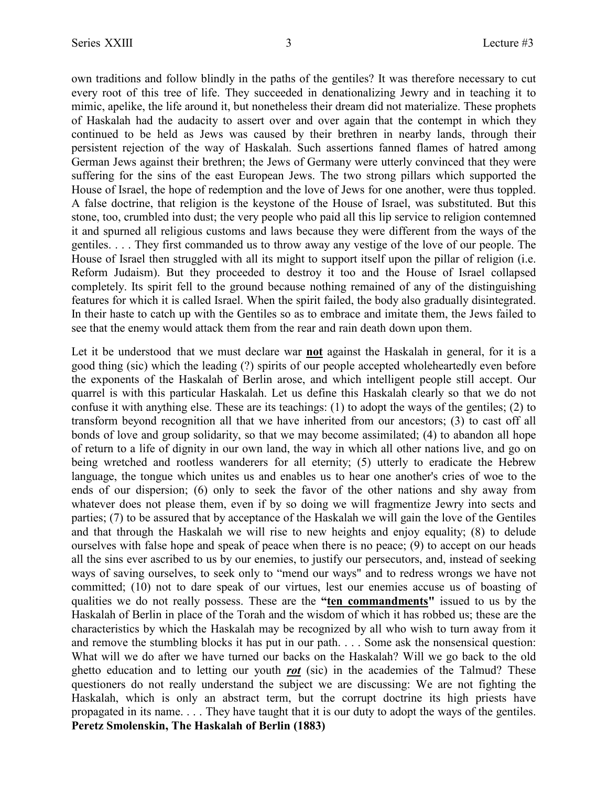own traditions and follow blindly in the paths of the gentiles? It was therefore necessary to cut every root of this tree of life. They succeeded in denationalizing Jewry and in teaching it to mimic, apelike, the life around it, but nonetheless their dream did not materialize. These prophets of Haskalah had the audacity to assert over and over again that the contempt in which they continued to be held as Jews was caused by their brethren in nearby lands, through their persistent rejection of the way of Haskalah. Such assertions fanned flames of hatred among German Jews against their brethren; the Jews of Germany were utterly convinced that they were suffering for the sins of the east European Jews. The two strong pillars which supported the House of Israel, the hope of redemption and the love of Jews for one another, were thus toppled. A false doctrine, that religion is the keystone of the House of Israel, was substituted. But this stone, too, crumbled into dust; the very people who paid all this lip service to religion contemned it and spurned all religious customs and laws because they were different from the ways of the gentiles. . . . They first commanded us to throw away any vestige of the love of our people. The House of Israel then struggled with all its might to support itself upon the pillar of religion (i.e. Reform Judaism). But they proceeded to destroy it too and the House of Israel collapsed completely. Its spirit fell to the ground because nothing remained of any of the distinguishing features for which it is called Israel. When the spirit failed, the body also gradually disintegrated. In their haste to catch up with the Gentiles so as to embrace and imitate them, the Jews failed to see that the enemy would attack them from the rear and rain death down upon them.

Let it be understood that we must declare war **not** against the Haskalah in general, for it is a good thing (sic) which the leading (?) spirits of our people accepted wholeheartedly even before the exponents of the Haskalah of Berlin arose, and which intelligent people still accept. Our quarrel is with this particular Haskalah. Let us define this Haskalah clearly so that we do not confuse it with anything else. These are its teachings: (1) to adopt the ways of the gentiles; (2) to transform beyond recognition all that we have inherited from our ancestors; (3) to cast off all bonds of love and group solidarity, so that we may become assimilated; (4) to abandon all hope of return to a life of dignity in our own land, the way in which all other nations live, and go on being wretched and rootless wanderers for all eternity; (5) utterly to eradicate the Hebrew language, the tongue which unites us and enables us to hear one another's cries of woe to the ends of our dispersion; (6) only to seek the favor of the other nations and shy away from whatever does not please them, even if by so doing we will fragmentize Jewry into sects and parties; (7) to be assured that by acceptance of the Haskalah we will gain the love of the Gentiles and that through the Haskalah we will rise to new heights and enjoy equality; (8) to delude ourselves with false hope and speak of peace when there is no peace; (9) to accept on our heads all the sins ever ascribed to us by our enemies, to justify our persecutors, and, instead of seeking ways of saving ourselves, to seek only to "mend our ways" and to redress wrongs we have not committed; (10) not to dare speak of our virtues, lest our enemies accuse us of boasting of qualities we do not really possess. These are the **"ten commandments"** issued to us by the Haskalah of Berlin in place of the Torah and the wisdom of which it has robbed us; these are the characteristics by which the Haskalah may be recognized by all who wish to turn away from it and remove the stumbling blocks it has put in our path. . . . Some ask the nonsensical question: What will we do after we have turned our backs on the Haskalah? Will we go back to the old ghetto education and to letting our youth *rot* (sic) in the academies of the Talmud? These questioners do not really understand the subject we are discussing: We are not fighting the Haskalah, which is only an abstract term, but the corrupt doctrine its high priests have propagated in its name. . . . They have taught that it is our duty to adopt the ways of the gentiles. **Peretz Smolenskin, The Haskalah of Berlin (1883)**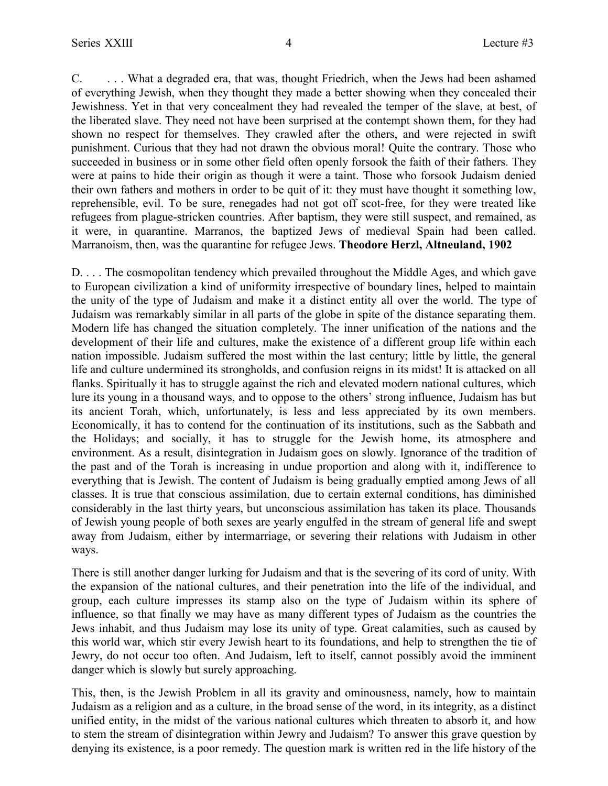C. . . . What a degraded era, that was, thought Friedrich, when the Jews had been ashamed of everything Jewish, when they thought they made a better showing when they concealed their Jewishness. Yet in that very concealment they had revealed the temper of the slave, at best, of the liberated slave. They need not have been surprised at the contempt shown them, for they had shown no respect for themselves. They crawled after the others, and were rejected in swift punishment. Curious that they had not drawn the obvious moral! Quite the contrary. Those who succeeded in business or in some other field often openly forsook the faith of their fathers. They were at pains to hide their origin as though it were a taint. Those who forsook Judaism denied their own fathers and mothers in order to be quit of it: they must have thought it something low, reprehensible, evil. To be sure, renegades had not got off scot-free, for they were treated like refugees from plague-stricken countries. After baptism, they were still suspect, and remained, as it were, in quarantine. Marranos, the baptized Jews of medieval Spain had been called. Marranoism, then, was the quarantine for refugee Jews. **Theodore Herzl, Altneuland, 1902**

D. . . . The cosmopolitan tendency which prevailed throughout the Middle Ages, and which gave to European civilization a kind of uniformity irrespective of boundary lines, helped to maintain the unity of the type of Judaism and make it a distinct entity all over the world. The type of Judaism was remarkably similar in all parts of the globe in spite of the distance separating them. Modern life has changed the situation completely. The inner unification of the nations and the development of their life and cultures, make the existence of a different group life within each nation impossible. Judaism suffered the most within the last century; little by little, the general life and culture undermined its strongholds, and confusion reigns in its midst! It is attacked on all flanks. Spiritually it has to struggle against the rich and elevated modern national cultures, which lure its young in a thousand ways, and to oppose to the others' strong influence, Judaism has but its ancient Torah, which, unfortunately, is less and less appreciated by its own members. Economically, it has to contend for the continuation of its institutions, such as the Sabbath and the Holidays; and socially, it has to struggle for the Jewish home, its atmosphere and environment. As a result, disintegration in Judaism goes on slowly. Ignorance of the tradition of the past and of the Torah is increasing in undue proportion and along with it, indifference to everything that is Jewish. The content of Judaism is being gradually emptied among Jews of all classes. It is true that conscious assimilation, due to certain external conditions, has diminished considerably in the last thirty years, but unconscious assimilation has taken its place. Thousands of Jewish young people of both sexes are yearly engulfed in the stream of general life and swept away from Judaism, either by intermarriage, or severing their relations with Judaism in other ways.

There is still another danger lurking for Judaism and that is the severing of its cord of unity. With the expansion of the national cultures, and their penetration into the life of the individual, and group, each culture impresses its stamp also on the type of Judaism within its sphere of influence, so that finally we may have as many different types of Judaism as the countries the Jews inhabit, and thus Judaism may lose its unity of type. Great calamities, such as caused by this world war, which stir every Jewish heart to its foundations, and help to strengthen the tie of Jewry, do not occur too often. And Judaism, left to itself, cannot possibly avoid the imminent danger which is slowly but surely approaching.

This, then, is the Jewish Problem in all its gravity and ominousness, namely, how to maintain Judaism as a religion and as a culture, in the broad sense of the word, in its integrity, as a distinct unified entity, in the midst of the various national cultures which threaten to absorb it, and how to stem the stream of disintegration within Jewry and Judaism? To answer this grave question by denying its existence, is a poor remedy. The question mark is written red in the life history of the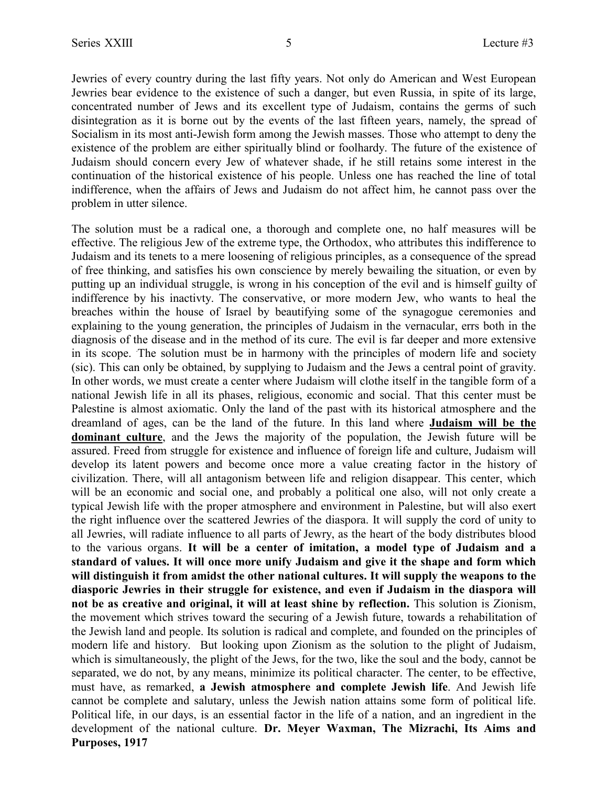Jewries of every country during the last fifty years. Not only do American and West European Jewries bear evidence to the existence of such a danger, but even Russia, in spite of its large, concentrated number of Jews and its excellent type of Judaism, contains the germs of such disintegration as it is borne out by the events of the last fifteen years, namely, the spread of Socialism in its most anti-Jewish form among the Jewish masses. Those who attempt to deny the existence of the problem are either spiritually blind or foolhardy. The future of the existence of Judaism should concern every Jew of whatever shade, if he still retains some interest in the continuation of the historical existence of his people. Unless one has reached the line of total indifference, when the affairs of Jews and Judaism do not affect him, he cannot pass over the problem in utter silence.

The solution must be a radical one, a thorough and complete one, no half measures will be effective. The religious Jew of the extreme type, the Orthodox, who attributes this indifference to Judaism and its tenets to a mere loosening of religious principles, as a consequence of the spread of free thinking, and satisfies his own conscience by merely bewailing the situation, or even by putting up an individual struggle, is wrong in his conception of the evil and is himself guilty of indifference by his inactivty. The conservative, or more modern Jew, who wants to heal the breaches within the house of Israel by beautifying some of the synagogue ceremonies and explaining to the young generation, the principles of Judaism in the vernacular, errs both in the diagnosis of the disease and in the method of its cure. The evil is far deeper and more extensive in its scope. .The solution must be in harmony with the principles of modern life and society (sic). This can only be obtained, by supplying to Judaism and the Jews a central point of gravity. In other words, we must create a center where Judaism will clothe itself in the tangible form of a national Jewish life in all its phases, religious, economic and social. That this center must be Palestine is almost axiomatic. Only the land of the past with its historical atmosphere and the dreamland of ages, can be the land of the future. In this land where **Judaism will be the dominant culture**, and the Jews the majority of the population, the Jewish future will be assured. Freed from struggle for existence and influence of foreign life and culture, Judaism will develop its latent powers and become once more a value creating factor in the history of civilization. There, will all antagonism between life and religion disappear. This center, which will be an economic and social one, and probably a political one also, will not only create a typical Jewish life with the proper atmosphere and environment in Palestine, but will also exert the right influence over the scattered Jewries of the diaspora. It will supply the cord of unity to all Jewries, will radiate influence to all parts of Jewry, as the heart of the body distributes blood to the various organs. **It will be a center of imitation, a model type of Judaism and a standard of values. It will once more unify Judaism and give it the shape and form which will distinguish it from amidst the other national cultures. It will supply the weapons to the diasporic Jewries in their struggle for existence, and even if Judaism in the diaspora will not be as creative and original, it will at least shine by reflection.** This solution is Zionism, the movement which strives toward the securing of a Jewish future, towards a rehabilitation of the Jewish land and people. Its solution is radical and complete, and founded on the principles of modern life and history. But looking upon Zionism as the solution to the plight of Judaism, which is simultaneously, the plight of the Jews, for the two, like the soul and the body, cannot be separated, we do not, by any means, minimize its political character. The center, to be effective, must have, as remarked, **a Jewish atmosphere and complete Jewish life**. And Jewish life cannot be complete and salutary, unless the Jewish nation attains some form of political life. Political life, in our days, is an essential factor in the life of a nation, and an ingredient in the development of the national culture. **Dr. Meyer Waxman, The Mizrachi, Its Aims and Purposes, 1917**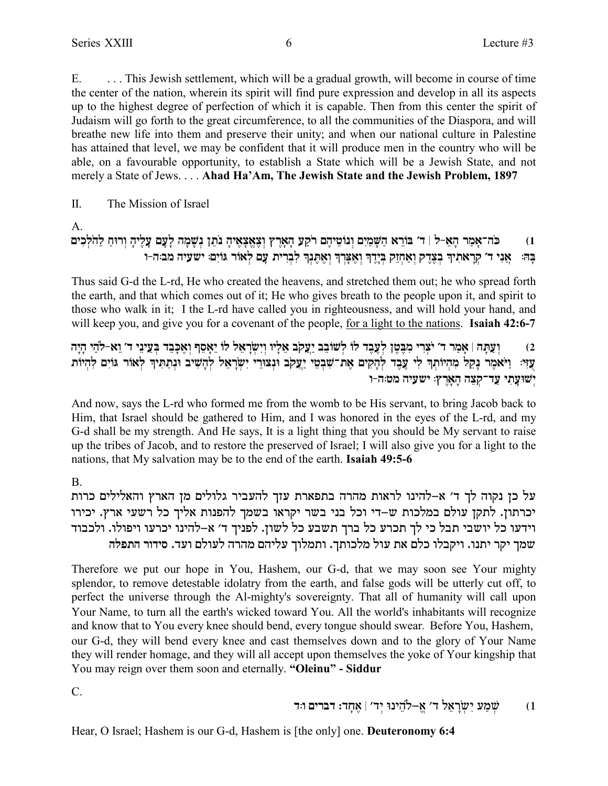$E_{\perp}$ ... This Jewish settlement, which will be a gradual growth, will become in course of time the center of the nation, wherein its spirit will find pure expression and develop in all its aspects up to the highest degree of perfection of which it is capable. Then from this center the spirit of Judaism will go forth to the great circumference, to all the communities of the Diaspora, and will breathe new life into them and preserve their unity; and when our national culture in Palestine has attained that level, we may be confident that it will produce men in the country who will be able, on a favourable opportunity, to establish a State which will be a Jewish State, and not merely a State of Jews.... Ahad Ha'Am, The Jewish State and the Jewish Problem, 1897

#### $\Pi$ . The Mission of Israel

A.

#### כּה־אָמַר הָאֵ-לּ | ד׳ בּוֹרֵא הַשָּׁמַיִם וְנוֹטֵיהֵם רֹקַעָ הָאָרֵץ וִצְאֵצָאֵיהָ נֹתֵן נִשָּׁמָה לָעָם עָלֵיהָ וְרוּחַ לַהֹלְכִים  $(1)$ אֲנִי ד׳ קְרָאתִיךְ בְצֶדֶק וְאַחְזֵק בְּיֶדֶךְ וְאֶצְרְךָ וְאֶתֶנְךָ לִבְרִית עֲם לְאוֹר גּוֹיִם: ישׁעִיה מב:ה-ו ान्

Thus said G-d the L-rd, He who created the heavens, and stretched them out; he who spread forth the earth, and that which comes out of it; He who gives breath to the people upon it, and spirit to those who walk in it; I the L-rd have called you in righteousness, and will hold your hand, and will keep you, and give you for a covenant of the people, for a light to the nations. Isaiah 42:6-7

### וְעַתַּה | אַמַר ד׳ יֹצרי מִבְּטֵן לְעֲבֵד לוֹ לְשׁוֹבֶב יַעֲקֹב אֲלֵיו וַיִשְׂרָאֵל לוֹ יָאֲסֵף וְאֵכַּבֶד בִּעֲינֵי ד׳ וַא-לֹהֵי הַיָּה  $(2)$ עוִי: וַיֹּאמֵר נָקֵל מִהִיוֹתְךָ לִי עֶבֶד לְהָקִים אֶת־שִׁבְטֵי יַעֲקִב וּנְצוּרֵי יִשְׂרָאֵל לְהָשִׁיב וּנְתַתִּיךְ לְאוֹר גּוֹיִם לִהְיוֹת ישועתי עד־קצה הארץ: ישעיה מט:ה-ו

And now, says the L-rd who formed me from the womb to be His servant, to bring Jacob back to Him, that Israel should be gathered to Him, and I was honored in the eyes of the L-rd, and my G-d shall be my strength. And He says, It is a light thing that you should be My servant to raise up the tribes of Jacob, and to restore the preserved of Israel; I will also give you for a light to the nations, that My salvation may be to the end of the earth. Isaiah 49:5-6

 $\mathbf{B}$ 

על כן נקוה לך ד' א-להינו לראות מהרה בתפארת עזך להעביר גלולים מן הארץ והאלילים כרות יכרתון. לתקן עולם במלכות ש-די וכל בני בשר יקראו בשמך להפנות אליך כל רשעי ארץ. יכירו וידעו כל יושבי תבל כי לך תכרע כל ברך תשבע כל לשון. לפניך ד׳ א-להינו יכרעו ויפולו. ולכבוד שמך יקר יתנו. ויקבלו כלם את עול מלכותך. ותמלוך עליהם מהרה לעולם ועד. סידור התפלה

Therefore we put our hope in You, Hashem, our G-d, that we may soon see Your mighty splendor, to remove detestable idolatry from the earth, and false gods will be utterly cut off, to perfect the universe through the Al-mighty's sovereignty. That all of humanity will call upon Your Name, to turn all the earth's wicked toward You. All the world's inhabitants will recognize and know that to You every knee should bend, every tongue should swear. Before You, Hashem, our G-d, they will bend every knee and cast themselves down and to the glory of Your Name they will render homage, and they will all accept upon themselves the yoke of Your kingship that You may reign over them soon and eternally. "Oleinu" - Siddur

 $C_{\cdot}$ 

Hear, O Israel; Hashem is our G-d, Hashem is [the only] one. Deuteronomy 6:4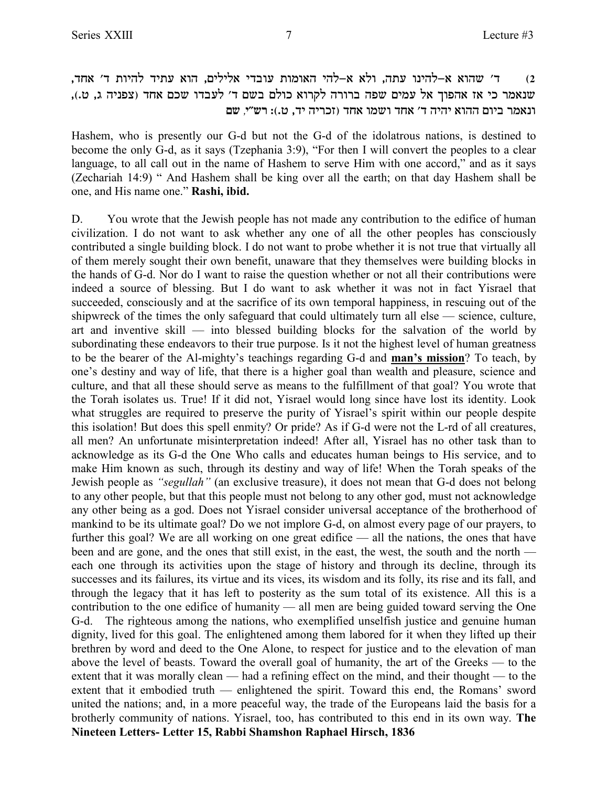,cg` 'c zeidl cizr `ed ,milil` icaer zene`d idl-` `le ,dzr epidl-` `edy 'c **(2** שנאמר כי אז אהפוך אל עמים שפה ברורה לקרוא כולם בשם ד׳ לעבדו שכם אחד (צפניה ג, ט.), **ונאמר ביום ההוא יהיה ד' אחד ושמו אחד (זכריה יד, ט.): רש"י, שם** 

Hashem, who is presently our G-d but not the G-d of the idolatrous nations, is destined to become the only G-d, as it says (Tzephania 3:9), "For then I will convert the peoples to a clear language, to all call out in the name of Hashem to serve Him with one accord," and as it says (Zechariah 14:9) " And Hashem shall be king over all the earth; on that day Hashem shall be one, and His name one." **Rashi, ibid.**

D. You wrote that the Jewish people has not made any contribution to the edifice of human civilization. I do not want to ask whether any one of all the other peoples has consciously contributed a single building block. I do not want to probe whether it is not true that virtually all of them merely sought their own benefit, unaware that they themselves were building blocks in the hands of G-d. Nor do I want to raise the question whether or not all their contributions were indeed a source of blessing. But I do want to ask whether it was not in fact Yisrael that succeeded, consciously and at the sacrifice of its own temporal happiness, in rescuing out of the shipwreck of the times the only safeguard that could ultimately turn all else — science, culture, art and inventive skill — into blessed building blocks for the salvation of the world by subordinating these endeavors to their true purpose. Is it not the highest level of human greatness to be the bearer of the Al-mighty's teachings regarding G-d and **man's mission**? To teach, by one's destiny and way of life, that there is a higher goal than wealth and pleasure, science and culture, and that all these should serve as means to the fulfillment of that goal? You wrote that the Torah isolates us. True! If it did not, Yisrael would long since have lost its identity. Look what struggles are required to preserve the purity of Yisrael's spirit within our people despite this isolation! But does this spell enmity? Or pride? As if G-d were not the L-rd of all creatures, all men? An unfortunate misinterpretation indeed! After all, Yisrael has no other task than to acknowledge as its G-d the One Who calls and educates human beings to His service, and to make Him known as such, through its destiny and way of life! When the Torah speaks of the Jewish people as *"segullah"* (an exclusive treasure), it does not mean that G-d does not belong to any other people, but that this people must not belong to any other god, must not acknowledge any other being as a god. Does not Yisrael consider universal acceptance of the brotherhood of mankind to be its ultimate goal? Do we not implore G-d, on almost every page of our prayers, to further this goal? We are all working on one great edifice — all the nations, the ones that have been and are gone, and the ones that still exist, in the east, the west, the south and the north each one through its activities upon the stage of history and through its decline, through its successes and its failures, its virtue and its vices, its wisdom and its folly, its rise and its fall, and through the legacy that it has left to posterity as the sum total of its existence. All this is a contribution to the one edifice of humanity — all men are being guided toward serving the One G-d. The righteous among the nations, who exemplified unselfish justice and genuine human dignity, lived for this goal. The enlightened among them labored for it when they lifted up their brethren by word and deed to the One Alone, to respect for justice and to the elevation of man above the level of beasts. Toward the overall goal of humanity, the art of the Greeks — to the extent that it was morally clean — had a refining effect on the mind, and their thought — to the extent that it embodied truth — enlightened the spirit. Toward this end, the Romans' sword united the nations; and, in a more peaceful way, the trade of the Europeans laid the basis for a brotherly community of nations. Yisrael, too, has contributed to this end in its own way. **The Nineteen Letters- Letter 15, Rabbi Shamshon Raphael Hirsch, 1836**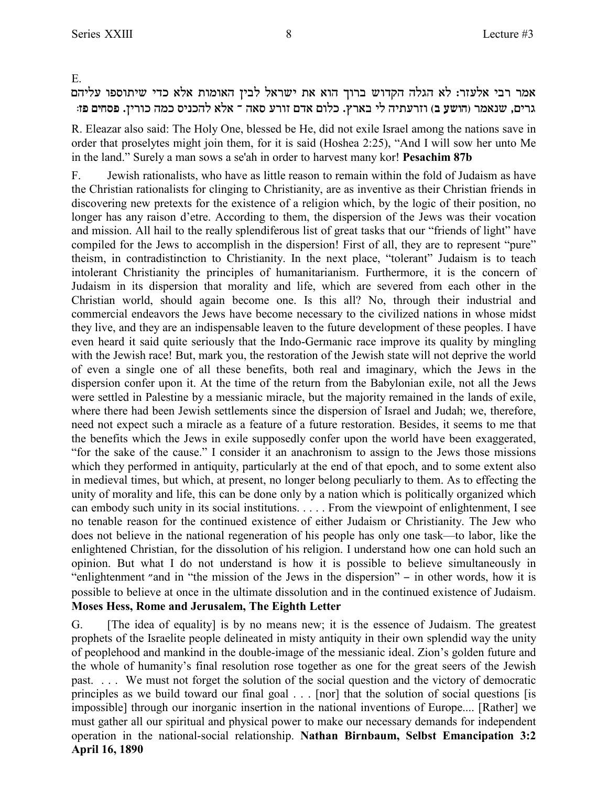E.

## אמר רבי אלעזר: לא הגלה הקדוש ברוך הוא את ישראל לבין האומות אלא כדי שיתוספו עליהם **:ft migqt** .oixek dnk qipkdl `l` Î d`q rxef mc` melk .ux`a il dizrxfe **(a ryed)** xn`py ,mixb

R. Eleazar also said: The Holy One, blessed be He, did not exile Israel among the nations save in order that proselytes might join them, for it is said (Hoshea 2:25), "And I will sow her unto Me in the land." Surely a man sows a se'ah in order to harvest many kor! **Pesachim 87b**

F. Jewish rationalists, who have as little reason to remain within the fold of Judaism as have the Christian rationalists for clinging to Christianity, are as inventive as their Christian friends in discovering new pretexts for the existence of a religion which, by the logic of their position, no longer has any raison d'etre. According to them, the dispersion of the Jews was their vocation and mission. All hail to the really splendiferous list of great tasks that our "friends of light" have compiled for the Jews to accomplish in the dispersion! First of all, they are to represent "pure" theism, in contradistinction to Christianity. In the next place, "tolerant" Judaism is to teach intolerant Christianity the principles of humanitarianism. Furthermore, it is the concern of Judaism in its dispersion that morality and life, which are severed from each other in the Christian world, should again become one. Is this all? No, through their industrial and commercial endeavors the Jews have become necessary to the civilized nations in whose midst they live, and they are an indispensable leaven to the future development of these peoples. I have even heard it said quite seriously that the Indo-Germanic race improve its quality by mingling with the Jewish race! But, mark you, the restoration of the Jewish state will not deprive the world of even a single one of all these benefits, both real and imaginary, which the Jews in the dispersion confer upon it. At the time of the return from the Babylonian exile, not all the Jews were settled in Palestine by a messianic miracle, but the majority remained in the lands of exile, where there had been Jewish settlements since the dispersion of Israel and Judah; we, therefore, need not expect such a miracle as a feature of a future restoration. Besides, it seems to me that the benefits which the Jews in exile supposedly confer upon the world have been exaggerated, "for the sake of the cause." I consider it an anachronism to assign to the Jews those missions which they performed in antiquity, particularly at the end of that epoch, and to some extent also in medieval times, but which, at present, no longer belong peculiarly to them. As to effecting the unity of morality and life, this can be done only by a nation which is politically organized which can embody such unity in its social institutions. . . . . From the viewpoint of enlightenment, I see no tenable reason for the continued existence of either Judaism or Christianity. The Jew who does not believe in the national regeneration of his people has only one task—to labor, like the enlightened Christian, for the dissolution of his religion. I understand how one can hold such an opinion. But what I do not understand is how it is possible to believe simultaneously in "enlightenment "and in "the mission of the Jews in the dispersion" - in other words, how it is possible to believe at once in the ultimate dissolution and in the continued existence of Judaism. **Moses Hess, Rome and Jerusalem, The Eighth Letter**

G. [The idea of equality] is by no means new; it is the essence of Judaism. The greatest prophets of the Israelite people delineated in misty antiquity in their own splendid way the unity of peoplehood and mankind in the double-image of the messianic ideal. Zion's golden future and the whole of humanity's final resolution rose together as one for the great seers of the Jewish past. . . . We must not forget the solution of the social question and the victory of democratic principles as we build toward our final goal . . . [nor] that the solution of social questions [is impossible] through our inorganic insertion in the national inventions of Europe.... [Rather] we must gather all our spiritual and physical power to make our necessary demands for independent operation in the national-social relationship. **Nathan Birnbaum, Selbst Emancipation 3:2 April 16, 1890**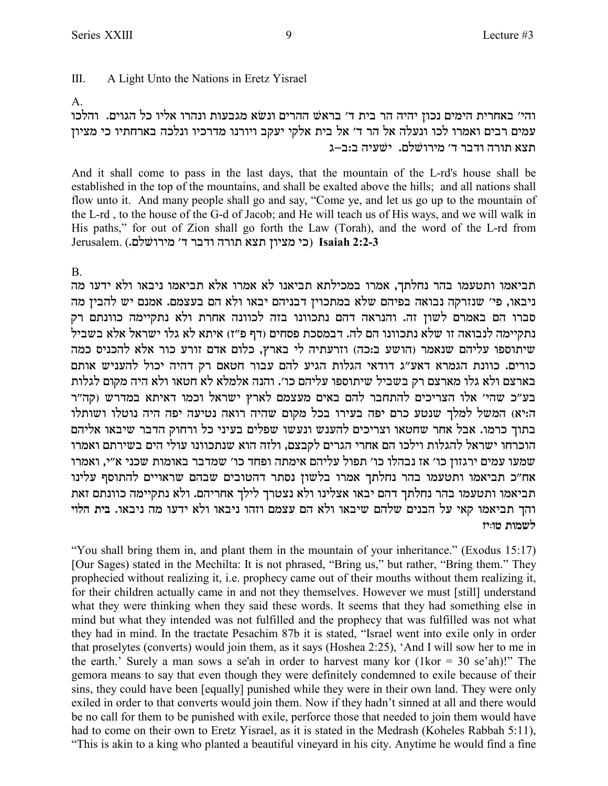$III$ A Light Unto the Nations in Eretz Yisrael

### $\mathsf{A}$

והי׳ באחרית הימים נכון יהיה הר בית ד׳ בראשׁ ההרים ונשׂא מגבעות ונהרו אליו כל הגוים. והלכו עמים רבים ואמרו לכו ונעלה אל הר ד' אל בית אלקי יעקב ויורנו מדרכיו ונלכה בארחתיו כי מציון תצא תורה ודבר ד׳ מירושלם. ישעיה ב:ב–ג

And it shall come to pass in the last days, that the mountain of the L-rd's house shall be established in the top of the mountains, and shall be exalted above the hills; and all nations shall flow unto it. And many people shall go and say, "Come ye, and let us go up to the mountain of the L-rd, to the house of the G-d of Jacob; and He will teach us of His ways, and we will walk in His paths," for out of Zion shall go forth the Law (Torah), and the word of the L-rd from Jerusalem. (כי מציון תצא תורה ודבר ד׳ מירושלם.) Isaiah 2:2-3

## $B<sub>1</sub>$

תביאמו ותטעמו בהר נחלתך, אמרו במכילתא תביאנו לא אמרו אלא תביאמו ניבאו ולא ידעו מה ניבאו, פי׳ שנזרקה נבואה בפיהם שלא במתכוין דבניהם יבאו ולא הם בעצמם. אמנם יש להבין מה סברו הם באמרם לשון זה. והנראה דהם נתכוונו בזה לכוונה אחרת ולא נתקיימה כוונתם רק נתקיימה לנבואה זו שלא נתכוונו הם לה. דבמסכת פסחים (דף פ"ז) איתא לא גלו ישראל אלא בשביל שיתוספו עליהם שנאמר (הושע ב:כה) וזרעתיה לי בארץ, כלום אדם זורע כור אלא להכניס כמה כורים. כוונת הגמרא דאע"ג דודאי הגלות הגיע להם עבור חטאם רק דהיה יכול להעניש אותם בארצם ולא גלו מארצם רק בשביל שיתוספו עליהם כו׳. והנה אלמלא לא חטאו ולא היה מקום לגלות בע"כ שהי' אלו הצריכים להתחבר להם באים מעצמם לארץ ישראל וכמו דאיתא במדרש (קה"ר ה:יא) המשל למלך שנטע כרם יפה בעירו בכל מקום שהיה רואה נטיעה יפה היה נוטלו ושותלו בתוך כרמו. אבל אחר שחטאו וצריכים להענש ונעשו שפלים בעיני כל ורחוק הדבר שיבאו אליהם הוכרחו ישראל להגלות וילכו הם אחרי הגרים לקבצם, ולזה הוא שנתכוונו עולי הים בשירתם ואמרו שמעו עמים ירגזון כו׳ אז נבהלו כו׳ תפול עליהם אימתה ופחד כו׳ שמדבר באומות שכני א״י, ואמרו אח"כ תביאמו ותטעמו בהר נחלתך אמרו בלשון נסתר דהטובים שבהם שראויים להתוסף עלינו תביאמו ותטעמו בהר נחלתך דהם יבאו אצלינו ולא נצטרך לילך אחריהם. ולא נתקיימה כוונתם זאת והך תביאמו קאי על הבנים שלהם שיבאו ולא הם עצמם וזהו ניבאו ולא ידעו מה ניבאו. בית הלוי לשמות טו:יז

"You shall bring them in, and plant them in the mountain of your inheritance." (Exodus 15:17) [Our Sages) stated in the Mechilta: It is not phrased, "Bring us," but rather, "Bring them." They prophecied without realizing it, i.e. prophecy came out of their mouths without them realizing it, for their children actually came in and not they themselves. However we must [still] understand what they were thinking when they said these words. It seems that they had something else in mind but what they intended was not fulfilled and the prophecy that was fulfilled was not what they had in mind. In the tractate Pesachim 87b it is stated, "Israel went into exile only in order that proselytes (converts) would join them, as it says (Hoshea 2:25), 'And I will sow her to me in the earth.' Surely a man sows a se'ah in order to harvest many kor (1 $\text{kor} = 30$  se'ah)!" The gemora means to say that even though they were definitely condemned to exile because of their sins, they could have been [equally] punished while they were in their own land. They were only exiled in order to that converts would join them. Now if they hadn't sinned at all and there would be no call for them to be punished with exile, perforce those that needed to join them would have had to come on their own to Eretz Yisrael, as it is stated in the Medrash (Koheles Rabbah 5:11), "This is akin to a king who planted a beautiful vineyard in his city. Anytime he would find a fine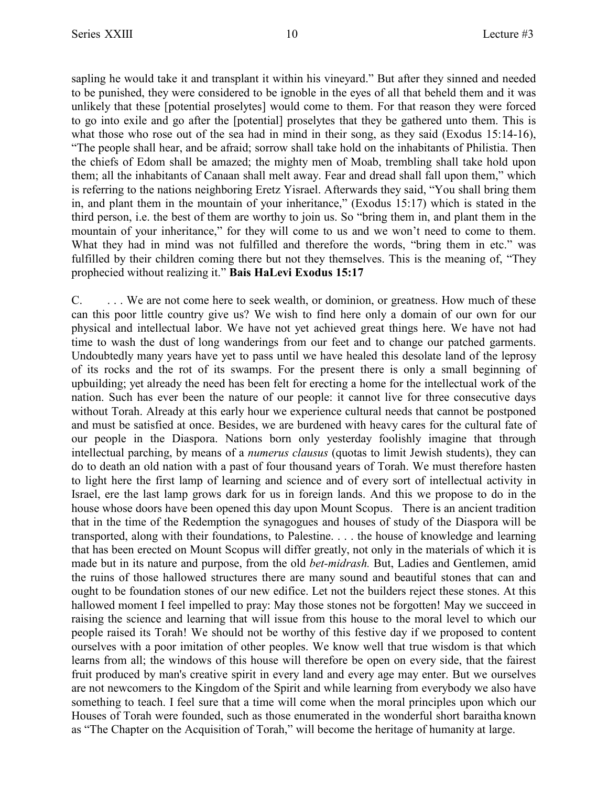sapling he would take it and transplant it within his vineyard." But after they sinned and needed to be punished, they were considered to be ignoble in the eyes of all that beheld them and it was unlikely that these [potential proselytes] would come to them. For that reason they were forced to go into exile and go after the [potential] proselytes that they be gathered unto them. This is what those who rose out of the sea had in mind in their song, as they said (Exodus 15:14-16), "The people shall hear, and be afraid; sorrow shall take hold on the inhabitants of Philistia. Then the chiefs of Edom shall be amazed; the mighty men of Moab, trembling shall take hold upon them; all the inhabitants of Canaan shall melt away. Fear and dread shall fall upon them," which is referring to the nations neighboring Eretz Yisrael. Afterwards they said, "You shall bring them in, and plant them in the mountain of your inheritance," (Exodus 15:17) which is stated in the third person, i.e. the best of them are worthy to join us. So "bring them in, and plant them in the mountain of your inheritance," for they will come to us and we won't need to come to them. What they had in mind was not fulfilled and therefore the words, "bring them in etc." was fulfilled by their children coming there but not they themselves. This is the meaning of, "They prophecied without realizing it." **Bais HaLevi Exodus 15:17**

C. We are not come here to seek wealth, or dominion, or greatness. How much of these can this poor little country give us? We wish to find here only a domain of our own for our physical and intellectual labor. We have not yet achieved great things here. We have not had time to wash the dust of long wanderings from our feet and to change our patched garments. Undoubtedly many years have yet to pass until we have healed this desolate land of the leprosy of its rocks and the rot of its swamps. For the present there is only a small beginning of upbuilding; yet already the need has been felt for erecting a home for the intellectual work of the nation. Such has ever been the nature of our people: it cannot live for three consecutive days without Torah. Already at this early hour we experience cultural needs that cannot be postponed and must be satisfied at once. Besides, we are burdened with heavy cares for the cultural fate of our people in the Diaspora. Nations born only yesterday foolishly imagine that through intellectual parching, by means of a *numerus clausus* (quotas to limit Jewish students), they can do to death an old nation with a past of four thousand years of Torah. We must therefore hasten to light here the first lamp of learning and science and of every sort of intellectual activity in Israel, ere the last lamp grows dark for us in foreign lands. And this we propose to do in the house whose doors have been opened this day upon Mount Scopus. There is an ancient tradition that in the time of the Redemption the synagogues and houses of study of the Diaspora will be transported, along with their foundations, to Palestine. . . . the house of knowledge and learning that has been erected on Mount Scopus will differ greatly, not only in the materials of which it is made but in its nature and purpose, from the old *bet-midrash.* But, Ladies and Gentlemen, amid the ruins of those hallowed structures there are many sound and beautiful stones that can and ought to be foundation stones of our new edifice. Let not the builders reject these stones. At this hallowed moment I feel impelled to pray: May those stones not be forgotten! May we succeed in raising the science and learning that will issue from this house to the moral level to which our people raised its Torah! We should not be worthy of this festive day if we proposed to content ourselves with a poor imitation of other peoples. We know well that true wisdom is that which learns from all; the windows of this house will therefore be open on every side, that the fairest fruit produced by man's creative spirit in every land and every age may enter. But we ourselves are not newcomers to the Kingdom of the Spirit and while learning from everybody we also have something to teach. I feel sure that a time will come when the moral principles upon which our Houses of Torah were founded, such as those enumerated in the wonderful short baraitha known as "The Chapter on the Acquisition of Torah," will become the heritage of humanity at large.